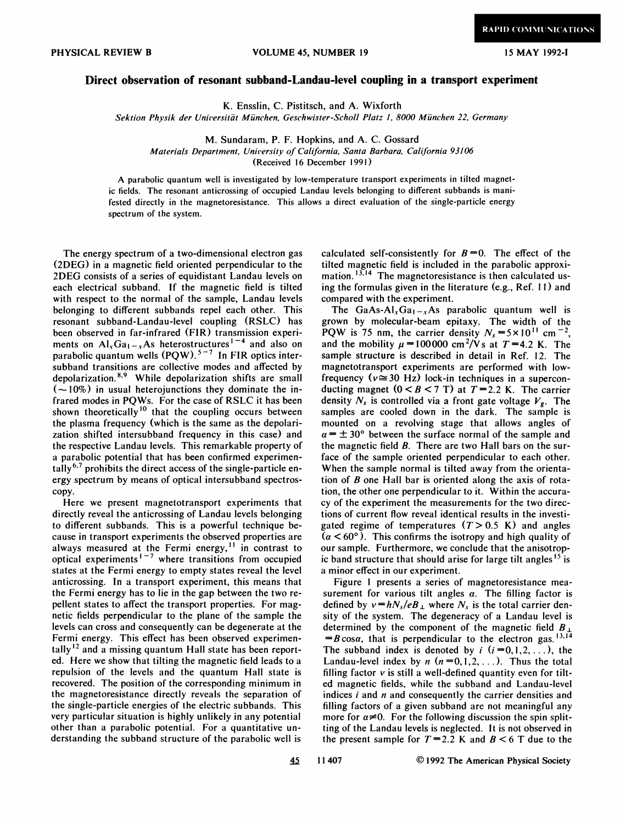## PHYSICAL REVIEW B **VOLUME 45, NUMBER 19** 15 MAY 1992-I

## Direct observation of resonant subband-Landau-level coupling in a transport experiment

K. Ensslin, C. Pistitsch, and A. Wixforth

Sektion Physik der Universität München, Geschwister-Scholl Platz 1, 8000 München 22, Germany

M. Sundaram, P. F. Hopkins, and A. C. Gossard

Materials Department, University of California, Santa Barbara, California 93l06

(Received 16 December 1991)

A parabolic quantum well is investigated by low-temperature transport experiments in tilted magnetic fields. The resonant anticrossing of occupied Landau levels belonging to different subbands is manifested directly in the magnetoresistance. This allows a direct evaluation of the single-particle energy spectrum of the system.

The energy spectrum of a two-dimensional electron gas (2DEG) in a magnetic field oriented perpendicular to the 2DEG consists of a series of equidistant Landau levels on each electrical subband. If the magnetic field is tilted with respect to the normal of the sample, Landau levels belonging to different subbands repel each other. This resonant subband-Landau-level coupling (RSLC) has been observed in far-infrared (FIR) transmission experiments on  $AI_xGa_{1-x}As$  heterostructures<sup>1-4</sup> and also or parabolic quantum wells  $(PQW)$ .<sup>5-7</sup> In FIR optics inter subband transitions are collective modes and affected by depolarization.<sup>8,9</sup> While depolarization shifts are small  $(-10\%)$  in usual heterojunctions they dominate the infrared modes in PQWs. For the case of RSLC it has been shown theoretically<sup>10</sup> that the coupling occurs between the plasma frequency (which is the same as the depolarization shifted intersubband frequency in this case) and the respective Landau levels. This remarkable property of a parabolic potential that has been confirmed experimentally<sup>6,7</sup> prohibits the direct access of the single-particle energy spectrum by means of optical intersubband spectroscopy.

Here we present magnetotransport experiments that directly reveal the anticrossing of Landau levels belonging to different subbands. This is a powerful technique because in transport experiments the observed properties are always measured at the Fermi energy,<sup>11</sup> in contrast to optical experiments<sup> $1-7$ </sup> where transitions from occupied states at the Fermi energy to empty states reveal the level anticrossing. In a transport experiment, this means that the Fermi energy has to lie in the gap between the two repellent states to affect the transport properties. For magnetic fields perpendicular to the plane of the sample the levels can cross and consequently can be degenerate at the Fermi energy. This effect has been observed experimentally<sup>12</sup> and a missing quantum Hall state has been reported. Here we show that tilting the magnetic field leads to a repulsion of the levels and the quantum Hall state is recovered. The position of the corresponding minimum in the magnetoresistance directly reveals the separation of the single-particle energies of the electric subbands. This very particular situation is highly unlikely in any potential other than a parabolic potential. For a quantitative understanding the subband structure of the parabolic well is

calculated self-consistently for  $B=0$ . The effect of the tilted magnetic field is included in the parabolic approxitilted magnetic field is included in the parabolic approximation. <sup>13,14</sup> The magnetoresistance is then calculated using the formulas given in the literature (e.g., Ref. 11) and compared with the experiment.

The GaAs-Al<sub>x</sub>Ga<sub>1-x</sub>As parabolic quantum well is grown by molecular-beam epitaxy. The width of the PQW is 75 nm, the carrier density  $N_s = 5 \times 10^{11}$  cm<sup>-2</sup>. and the mobility  $\mu = 100000$  cm<sup>2</sup>/Vs at T = 4.2 K. The sample structure is described in detail in Ref. 12. The magnetotransport experiments are performed with lowfrequency ( $v \approx 30$  Hz) lock-in techniques in a superconducting magnet  $(0 < B < 7$  T) at  $T = 2.2$  K. The carrier density  $N_s$  is controlled via a front gate voltage  $V_g$ . The samples are cooled down in the dark. The sample is mounted on a revolving stage that allows angles of  $\alpha = \pm 30^{\circ}$  between the surface normal of the sample and the magnetic field B. There are two Hall bars on the surface of the sample oriented perpendicular to each other. When the sample normal is tilted away from the orientation of B one Hall bar is oriented along the axis of rotation, the other one perpendicular to it. Within the accuracy of the experiment the measurements for the two directions of current flow reveal identical results in the investigated regime of temperatures  $(T>0.5 K)$  and angles  $(a < 60^{\circ})$ . This confirms the isotropy and high quality of our sample. Furthermore, we conclude that the anisotropic band structure that should arise for large tilt angles<sup>15</sup> is a minor effect in our experiment.

Figure <sup>I</sup> presents a series of magnetoresistance measurement for various tilt angles  $\alpha$ . The filling factor is defined by  $v=hN_s/eB_{\perp}$  where  $N_s$  is the total carrier density of the system. The degeneracy of a Landau level is determined by the component of the magnetic field  $B_{\perp}$ determined by the component of the magnetic field  $B$ <br>=  $B \cos \alpha$ , that is perpendicular to the electron gas.<sup>13,1</sup> The subband index is denoted by  $i$   $(i = 0, 1, 2, ...)$ , the Landau-level index by  $n(n=0,1,2,...)$ . Thus the total filling factor  $v$  is still a well-defined quantity even for tilted magnetic fields, while the subband and Landau-level indices  $i$  and  $n$  and consequently the carrier densities and filling factors of a given subband are not meaningful any more for  $\alpha \neq 0$ . For the following discussion the spin splitting of the Landau levels is neglected. It is not observed in the present sample for  $T=2.2$  K and  $B < 6$  T due to the

 $45$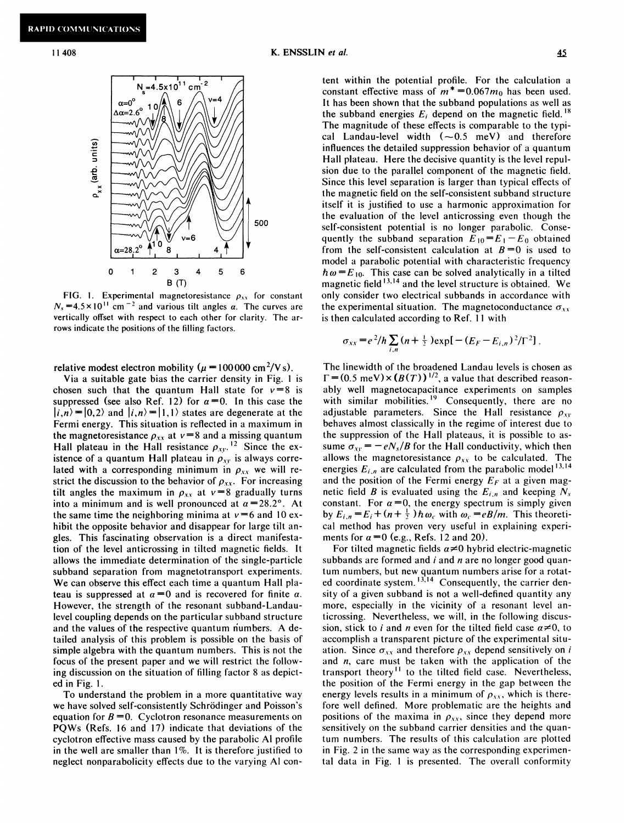

FIG. 1. Experimental magnetoresistance  $\rho_{xx}$  for constant  $N_s = 4.5 \times 10^{11}$  cm<sup>-2</sup> and various tilt angles a. The curves are vertically offset with respect to each other for clarity. The arrows indicate the positions of the filling factors.

relative modest electron mobility ( $\mu = 100000 \text{ cm}^2/\text{V s}$ ).

Via a suitable gate bias the carrier density in Fig. <sup>1</sup> is chosen such that the quantum Hall state for  $v=8$  is suppressed (see also Ref. 12) for  $\alpha=0$ . In this case the  $|i, n\rangle = |0, 2\rangle$  and  $|i, n\rangle = |1, 1\rangle$  states are degenerate at the Fermi energy. This situation is reflected in a maximum in the magnetoresistance  $\rho_{xx}$  at  $v=8$  and a missing quantum Hall plateau in the Hall resistance  $\rho_{xy}$ .<sup>12</sup> Since the existence of a quantum Hall plateau in  $\rho_{xy}$  is always correlated with a corresponding minimum in  $\rho_{xx}$  we will restrict the discussion to the behavior of  $\rho_{xx}$ . For increasing tilt angles the maximum in  $\rho_{xx}$  at  $v=8$  gradually turns into a minimum and is well pronounced at  $\alpha$  = 28.2°. At the same time the neighboring minima at  $v = 6$  and 10 exhibit the opposite behavior and disappear for large tilt angles. This fascinating observation is a direct manifestation of the level anticrossing in tilted magnetic fields. It allows the immediate determination of the single-particle subband separation from magnetotransport experiments. We can observe this effect each time a quantum Hall plateau is suppressed at  $\alpha=0$  and is recovered for finite  $\alpha$ . However, the strength of the resonant subband-Landaulevel coupling depends on the particular subband structure and the values of the respective quantum numbers. A detailed analysis of this problem is possible on the basis of simple algebra with the quantum numbers. This is not the focus of the present paper and we will restrict the following discussion on the situation of filling factor 8 as depicted in Fig. 1.

To understand the problem in a more quantitative way we have solved self-consistently Schrödinger and Poisson's equation for  $B = 0$ . Cyclotron resonance measurements on PQWs (Refs. 16 and 17) indicate that deviations of the cyclotron effective mass caused by the parabolic Al profile in the well are smaller than 1%. It is therefore justified to neglect nonparabolicity effects due to the varying Al con-

tent within the potential profile. For the calculation a constant effective mass of  $m^* = 0.067m_0$  has been used. It has been shown that the subband populations as well as the subband energies  $E_i$  depend on the magnetic field.<sup>18</sup> The magnitude of these effects is comparable to the typical Landau-level width  $(-0.5 \text{ meV})$  and therefore influences the detailed suppression behavior of a quantum Hall plateau. Here the decisive quantity is the level repulsion due to the parallel component of the magnetic field. Since this level separation is larger than typical effects of the magnetic field on the self-consistent subband structure itself it is justified to use a harmonic approximation for the evaluation of the level anticrossing even though the self-consistent potential is no longer parabolic. Consesen-consistent potential is no longer parabolic. Consequently the subband separation  $E_{10} = E_1 - E_0$  obtaine from the self-consistent calculation at  $B=0$  is used to model a parabolic potential with characteristic frequency  $\hbar \omega = E_{10}$ . This case can be solved analytically in a tilted magnetic field <sup>13,14</sup> and the level structure is obtained. We only consider two electrical subbands in accordance with the experimental situation. The magnetoconductance  $\sigma_{xx}$ is then calculated according to Ref. 11 with

$$
\sigma_{xx} = e^2/h \sum_{i,n} (n + \frac{1}{2}) \exp[-(E_F - E_{i,n})^2/\Gamma^2].
$$

The linewidth of the broadened Landau levels is chosen as The interviewed of the broadelied Landau levels is chosen a<br> $\Gamma = (0.5 \text{ meV}) \times (B(T))^{1/2}$ , a value that described reasonably well magnetocapacitance experiments on samples with similar mobilities.<sup>19</sup> Consequently, there are no adjustable parameters. Since the Hall resistance  $\rho_{xy}$ behaves almost classically in the regime of interest due to the suppression of the Hall plateaus, it is possible to assume  $\sigma_{xy} = -eN_s/B$  for the Hall conductivity, which then allows the magnetoresistance  $\rho_{xx}$  to be calculated. The energies  $E_{i,n}$  are calculated from the parabolic model<sup>13,1</sup> and the position of the Fermi energy  $E_F$  at a given magnetic field B is evaluated using the  $E_{i,n}$  and keeping  $N_s$ . constant. For  $\alpha=0$ , the energy spectrum is simply given by  $E_{i,n} = E_i + (n + \frac{1}{2}) \hbar \omega_c$  with  $\omega_c = eB/m$ . This theoretical method has proven very useful in explaining experiments for  $\alpha = 0$  (e.g., Refs. 12 and 20).

For tilted magnetic fields  $\alpha \neq 0$  hybrid electric-magnetic subbands are formed and  $i$  and  $n$  are no longer good quantum numbers, but new quantum numbers arise for a rotattum numbers, but new quantum numbers arise for a rotat<br>ed coordinate system. <sup>13,14</sup> Consequently, the carrier den sity of a given subband is not a well-defined quantity any more, especially in the vicinity of a resonant level anticrossing. Nevertheless, we will, in the following discussion, stick to i and n even for the tilted field case  $\alpha \neq 0$ , to accomplish a transparent picture of the experimental situation. Since  $\sigma_{xx}$  and therefore  $\rho_{xx}$  depend sensitively on i and  $n$ , care must be taken with the application of the transport theory'' to the tilted field case. Nevertheless, the position of the Fermi energy in the gap between the energy levels results in a minimum of  $\rho_{xx}$ , which is therefore well defined. More problematic are the heights and positions of the maxima in  $\rho_{xx}$ , since they depend more sensitively on the subband carrier densities and the quantum numbers. The results of this calculation are plotted in Fig. 2 in the same way as the corresponding experimental data in Fig. <sup>1</sup> is presented. The overall conformity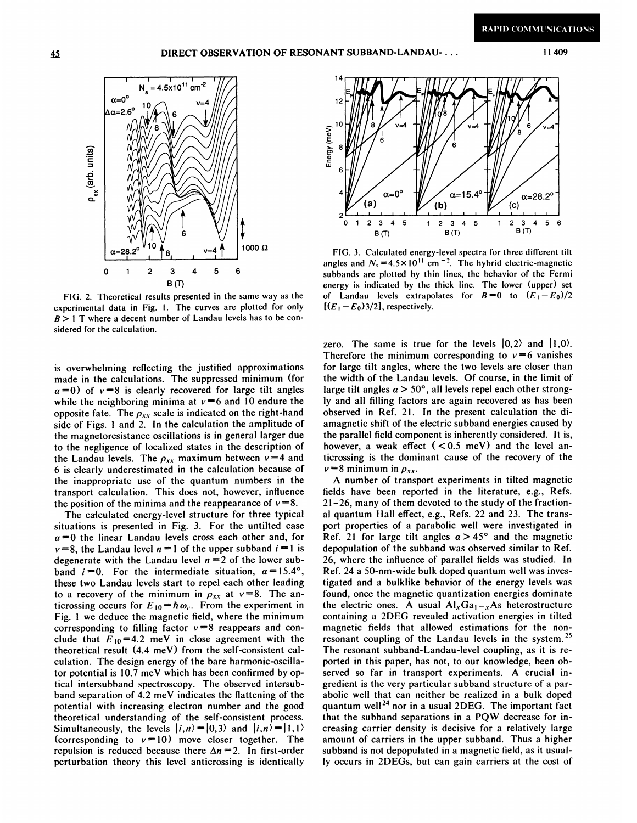

FIG. 2. Theoretical results presented in the same way as the experimental data in Fig. 1. The curves are plotted for only  $B > 1$  T where a decent number of Landau levels has to be considered for the calculation.

is overwhelming reflecting the justified approximations made in the calculations. The suppressed minimum (for  $\alpha=0$ ) of  $v=8$  is clearly recovered for large tilt angles while the neighboring minima at  $v=6$  and 10 endure the opposite fate. The  $\rho_{xx}$  scale is indicated on the right-hand side of Figs. <sup>1</sup> and 2. In the calculation the amplitude of the magnetoresistance oscillations is in general larger due to the negligence of localized states in the description of the Landau levels. The  $\rho_{xx}$  maximum between  $v = 4$  and 6 is clearly underestimated in the calculation because of the inappropriate use of the quantum numbers in the transport calculation. This does not, however, influence the position of the minima and the reappearance of  $v = 8$ .

The calculated energy-level structure for three typical situations is presented in Fig. 3. For the untilted case  $\alpha=0$  the linear Landau levels cross each other and, for  $v=8$ , the Landau level  $n=1$  of the upper subband  $i=1$  is degenerate with the Landau level  $n = 2$  of the lower subband  $i = 0$ . For the intermediate situation,  $\alpha = 15.4^{\circ}$ , these two Landau levels start to repel each other leading to a recovery of the minimum in  $\rho_{xx}$  at  $v = 8$ . The anticrossing occurs for  $E_{10} = \hbar \omega_c$ . From the experiment in Fig. <sup>l</sup> we deduce the magnetic field, where the minimum corresponding to filling factor  $v=8$  reappears and conclude that  $E_{10}=4.2$  meV in close agreement with the theoretical result (4.4 meV) from the self-consistent calculation. The design energy of the bare harmonic-oscillator potential is l0.7 meV which has been confirmed by optical intersubband spectroscopy. The observed intersubband separation of  $4.2$  meV indicates the flattening of the potential with increasing electron number and the good theoretical understanding of the self-consistent process. Simultaneously, the levels  $|i, n\rangle = |0,3\rangle$  and  $|i, n\rangle = |1,1\rangle$ (corresponding to  $v = 10$ ) move closer together. The repulsion is reduced because there  $\Delta n = 2$ . In first-order perturbation theory this level anticrossing is identically



FIG. 3. Calculated energy-level spectra for three different tilt angles and  $N_s = 4.5 \times 10^{11}$  cm<sup>-2</sup>. The hybrid electric-magnetic subbands are plotted by thin lines, the behavior of the Fermi energy is indicated by the thick line. The lower (upper) set of Landau levels extrapolates for  $B=0$  to  $(E_1-E_0)/2$  $[(E<sub>1</sub> - E<sub>0</sub>)3/2]$ , respectively.

zero. The same is true for the levels  $|0,2\rangle$  and  $|1,0\rangle$ . Therefore the minimum corresponding to  $v=6$  vanishes for large tilt angles, where the two levels are closer than the width of the Landau levels. Of course, in the limit of large tilt angles  $\alpha > 50^{\circ}$ , all levels repel each other strongly and all filling factors are again recovered as has been observed in Ref. 21. In the present calculation the diamagnetic shift of the electric subband energies caused by the parallel field component is inherently considered. It is, however, a weak effect  $( $0.5$  meV) and the level an$ ticrossing is the dominant cause of the recovery of the  $v = 8$  minimum in  $\rho_{xx}$ .

A number of transport experiments in tilted magnetic fields have been reported in the literature, e.g., Refs. 21-26, many of them devoted to the study of the fractional quantum Hall effect, e.g., Refs. 22 and 23. The transport properties of a parabolic well were investigated in Ref. 21 for large tilt angles  $\alpha > 45^{\circ}$  and the magnetic depopulation of the subband was observed similar to Ref. 26, where the infiuence of parallel fields was studied. In Ref. 24 a 50-nm-wide bulk doped quantum well was investigated and a bulklike behavior of the energy levels was found, once the magnetic quantization energies dominate the electric ones. A usual  $Al_xGa_{1-x}As$  heterostructure containing a 2DEG revealed activation energies in tilted magnetic fields that allowed estimations for the nonresonant coupling of the Landau levels in the system.<sup>25</sup> The resonant subband-Landau-level coupling, as it is reported in this paper, has not, to our knowledge, been observed so far in transport experiments. A crucial ingredient is the very particular subband structure of a parabolic well that can neither be realized in a bulk doped quantum well<sup>24</sup> nor in a usual 2DEG. The important fact that the subband separations in a PQW decrease for increasing carrier density is decisive for a relatively large amount of carriers in the upper subband. Thus a higher subband is not depopulated in a magnetic field, as it usually occurs in 2DEGs, but can gain carriers at the cost of